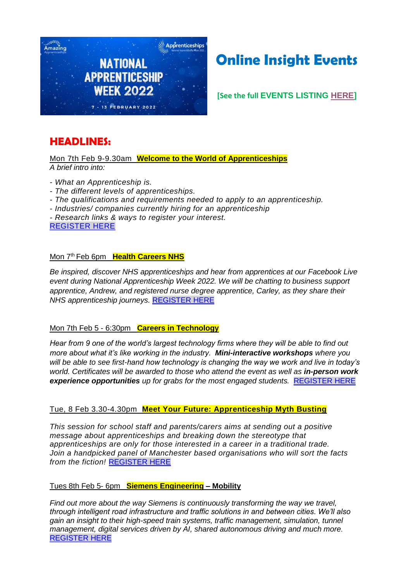

# **Online Insight Events**

**[See the full EVENTS LISTING HERE]**

# **HEADLINES:**

Mon 7th Feb 9-9.30am **Welcome to the World of Apprenticeships** *A brief intro into:* 

- *- What an Apprenticeship is.*
- *- The different levels of apprenticeships.*
- *- The qualifications and requirements needed to apply to an apprenticeship.*
- *- Industries/ companies currently hiring for an apprenticeship*

*- Research links & ways to register your interest.* REGISTER HERE

#### Mon 7<sup>th</sup> Feb 6pm **Health Careers NHS**

*Be inspired, discover NHS apprenticeships and hear from apprentices at our Facebook Live event during National Apprenticeship Week 2022. We will be chatting to business support apprentice, Andrew, and registered nurse degree apprentice, Carley, as they share their NHS apprenticeship journeys.* REGISTER HERE

#### Mon 7th Feb 5 - 6:30pm **Careers in Technology**

*Hear from 9 one of the world's largest technology firms where they will be able to find out more about what it's like working in the industry. Mini-interactive workshops where you will be able to see first-hand how technology is changing the way we work and live in today's world. Certificates will be awarded to those who attend the event as well as in-person work experience opportunities up for grabs for the most engaged students.* REGISTER HERE

#### Tue, 8 Feb 3.30-4.30pm **Meet Your Future: Apprenticeship Myth Busting**

*This session for school staff and parents/carers aims at sending out a positive message about apprenticeships and breaking down the stereotype that apprenticeships are only for those interested in a career in a traditional trade. Join a handpicked panel of Manchester based organisations who will sort the facts from the fiction!* REGISTER HERE

#### Tues 8th Feb 5- 6pm **Siemens Engineering – Mobility**

*Find out more about the way Siemens is continuously transforming the way we travel, through intelligent road infrastructure and traffic solutions in and between cities. We'll also gain an insight to their high-speed train systems, traffic management, simulation, tunnel management, digital services driven by AI, shared autonomous driving and much more.* REGISTER HERE